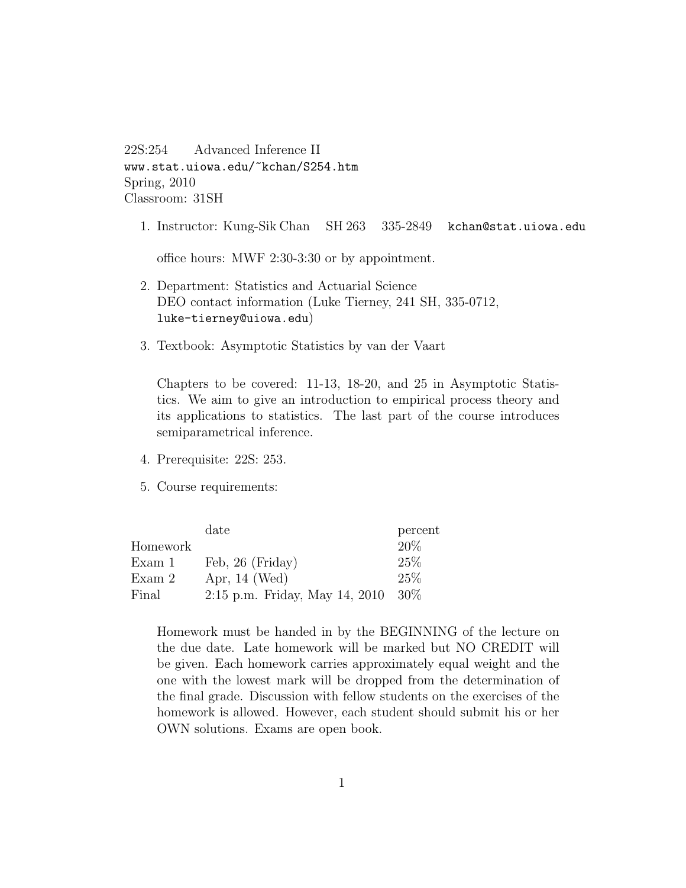22S:254 Advanced Inference II www.stat.uiowa.edu/~kchan/S254.htm Spring, 2010 Classroom: 31SH

1. Instructor: Kung-Sik Chan SH 263 335-2849 kchan@stat.uiowa.edu

office hours: MWF 2:30-3:30 or by appointment.

- 2. Department: Statistics and Actuarial Science DEO contact information (Luke Tierney, 241 SH, 335-0712, luke-tierney@uiowa.edu)
- 3. Textbook: Asymptotic Statistics by van der Vaart

Chapters to be covered: 11-13, 18-20, and 25 in Asymptotic Statistics. We aim to give an introduction to empirical process theory and its applications to statistics. The last part of the course introduces semiparametrical inference.

- 4. Prerequisite: 22S: 253.
- 5. Course requirements:

|          | date                             | percent |
|----------|----------------------------------|---------|
| Homework |                                  | 20%     |
| Exam 1   | Feb, 26 (Friday)                 | 25\%    |
| Exam 2   | Apr, $14$ (Wed)                  | 25%     |
| Final    | $2:15$ p.m. Friday, May 14, 2010 | $30\%$  |

Homework must be handed in by the BEGINNING of the lecture on the due date. Late homework will be marked but NO CREDIT will be given. Each homework carries approximately equal weight and the one with the lowest mark will be dropped from the determination of the final grade. Discussion with fellow students on the exercises of the homework is allowed. However, each student should submit his or her OWN solutions. Exams are open book.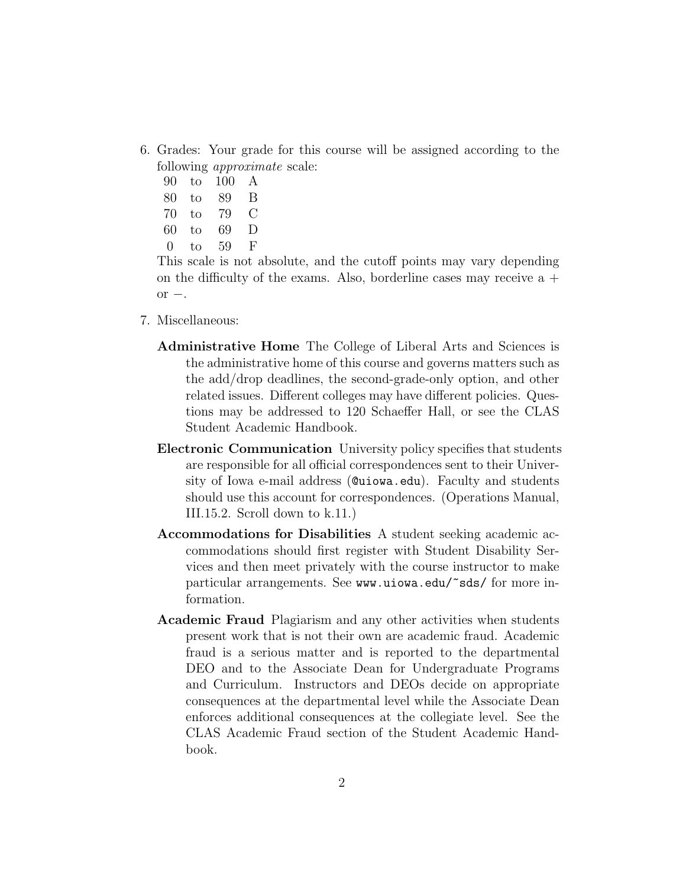- 6. Grades: Your grade for this course will be assigned according to the following approximate scale:
	- 90 to 100 A
	- 80 to 89 B
	- 70 to 79 C
	- 60 to 69 D
	- 0 to 59 F

This scale is not absolute, and the cutoff points may vary depending on the difficulty of the exams. Also, borderline cases may receive  $a +$ or  $-$ .

- 7. Miscellaneous:
	- Administrative Home The College of Liberal Arts and Sciences is the administrative home of this course and governs matters such as the add/drop deadlines, the second-grade-only option, and other related issues. Different colleges may have different policies. Questions may be addressed to 120 Schaeffer Hall, or see the CLAS Student Academic Handbook.
	- Electronic Communication University policy specifies that students are responsible for all official correspondences sent to their University of Iowa e-mail address (@uiowa.edu). Faculty and students should use this account for correspondences. (Operations Manual, III.15.2. Scroll down to k.11.)
	- Accommodations for Disabilities A student seeking academic accommodations should first register with Student Disability Services and then meet privately with the course instructor to make particular arrangements. See www.uiowa.edu/~sds/ for more information.
	- Academic Fraud Plagiarism and any other activities when students present work that is not their own are academic fraud. Academic fraud is a serious matter and is reported to the departmental DEO and to the Associate Dean for Undergraduate Programs and Curriculum. Instructors and DEOs decide on appropriate consequences at the departmental level while the Associate Dean enforces additional consequences at the collegiate level. See the CLAS Academic Fraud section of the Student Academic Handbook.